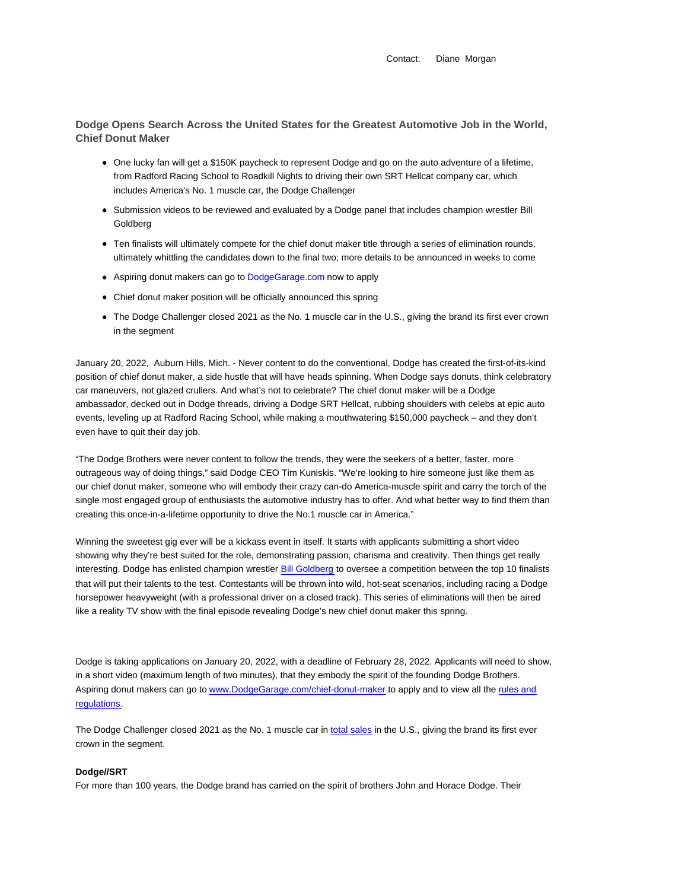Contact: Diane Morgan

**Dodge Opens Search Across the United States for the Greatest Automotive Job in the World, Chief Donut Maker**

- One lucky fan will get a \$150K paycheck to represent Dodge and go on the auto adventure of a lifetime, from Radford Racing School to Roadkill Nights to driving their own SRT Hellcat company car, which includes America's No. 1 muscle car, the Dodge Challenger
- Submission videos to be reviewed and evaluated by a Dodge panel that includes champion wrestler Bill Goldberg
- Ten finalists will ultimately compete for the chief donut maker title through a series of elimination rounds, ultimately whittling the candidates down to the final two; more details to be announced in weeks to come
- Aspiring donut makers can go to DodgeGarage.com now to apply
- Chief donut maker position will be officially announced this spring
- The Dodge Challenger closed 2021 as the No. 1 muscle car in the U.S., giving the brand its first ever crown in the segment

January 20, 2022, Auburn Hills, Mich. - Never content to do the conventional, Dodge has created the first-of-its-kind position of chief donut maker, a side hustle that will have heads spinning. When Dodge says donuts, think celebratory car maneuvers, not glazed crullers. And what's not to celebrate? The chief donut maker will be a Dodge ambassador, decked out in Dodge threads, driving a Dodge SRT Hellcat, rubbing shoulders with celebs at epic auto events, leveling up at Radford Racing School, while making a mouthwatering \$150,000 paycheck – and they don't even have to quit their day job.

"The Dodge Brothers were never content to follow the trends, they were the seekers of a better, faster, more outrageous way of doing things," said Dodge CEO Tim Kuniskis. "We're looking to hire someone just like them as our chief donut maker, someone who will embody their crazy can-do America-muscle spirit and carry the torch of the single most engaged group of enthusiasts the automotive industry has to offer. And what better way to find them than creating this once-in-a-lifetime opportunity to drive the No.1 muscle car in America."

Winning the sweetest gig ever will be a kickass event in itself. It starts with applicants submitting a short video showing why they're best suited for the role, demonstrating passion, charisma and creativity. Then things get really interesting. Dodge has enlisted champion wrestler Bill Goldberg to oversee a competition between the top 10 finalists that will put their talents to the test. Contestants will be thrown into wild, hot-seat scenarios, including racing a Dodge horsepower heavyweight (with a professional driver on a closed track). This series of eliminations will then be aired like a reality TV show with the final episode revealing Dodge's new chief donut maker this spring.

Dodge is taking applications on January 20, 2022, with a deadline of February 28, 2022. Applicants will need to show, in a short video (maximum length of two minutes), that they embody the spirit of the founding Dodge Brothers. Aspiring donut makers can go to www.DodgeGarage.com/chief-donut-maker to apply and to view all the rules and regulations.

The Dodge Challenger closed 2021 as the No. 1 muscle car in total sales in the U.S., giving the brand its first ever crown in the segment.

## **Dodge//SRT**

For more than 100 years, the Dodge brand has carried on the spirit of brothers John and Horace Dodge. Their